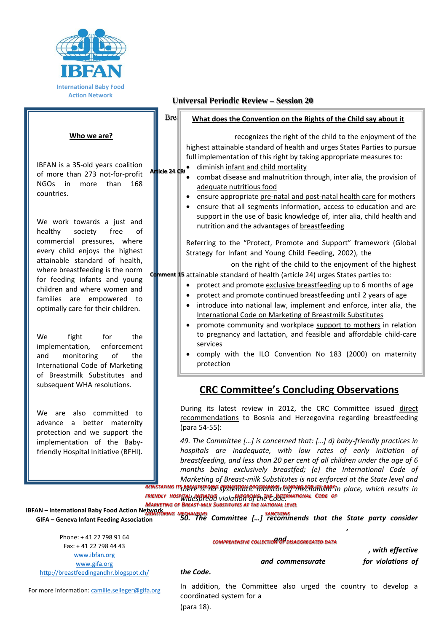

#### **Who we are?**

IBFAN is a 35-old years coalition of more than 273 not-for-profit NGOs in more than 168 countries.

We work towards a just and healthy society free of commercial pressures, where every child enjoys the highest attainable standard of health, where breastfeeding is the norm for feeding infants and young children and where women and families are empowered to optimally care for their children.

We fight for the implementation, enforcement and monitoring of the International Code of Marketing of Breastmilk Substitutes and subsequent WHA resolutions.

We are also committed to advance a better maternity protection and we support the implementation of the Babyfriendly Hospital Initiative (BFHI).

### **Universal Periodic Review – Session 20**

### Breastfeed **What does the Convention on the Rights of the Child say about it**

recognizes the right of the child to the enjoyment of the highest attainable standard of health and urges States Parties to pursue full implementation of this right by taking appropriate measures to:

- Article 24 CR diminish infant and child mortality
	- combat disease and malnutrition through, inter alia, the provision of adequate nutritious food
	- ensure appropriate pre-natal and post-natal health care for mothers
	- ensure that all segments information, access to education and are support in the use of basic knowledge of, inter alia, child health and nutrition and the advantages of breastfeeding

Referring to the "Protect, Promote and Support" framework (Global Strategy for Infant and Young Child Feeding, 2002), the

on the right of the child to the enjoyment of the highest **Comment 15** attainable standard of health (article 24) urges States parties to:

- protect and promote exclusive breastfeeding up to 6 months of age
- protect and promote continued breastfeeding until 2 years of age
- introduce into national law, implement and enforce, inter alia, the International Code on Marketing of Breastmilk Substitutes
- promote community and workplace support to mothers in relation to pregnancy and lactation, and feasible and affordable child-care services
- comply with the ILO Convention No 183 (2000) on maternity protection

## **CRC Committee's Concluding Observations**

During its latest review in 2012, the CRC Committee issued direct recommendations to Bosnia and Herzegovina regarding breastfeeding (para 54-55):

*49. The Committee […] is concerned that: […] d) baby-friendly practices in hospitals are inadequate, with low rates of early initiation of breastfeeding, and less than 20 per cent of all children under the age of 6 months being exclusively breastfed; (e) the International Code of Marketing of Breast-milk Substitutes is not enforced at the State level and* 

*there is no systematic monitoring mechanism in place, which results in REINSTATING ITS BREASTFEEDING PROMOTION PROGRAMME FUNDING FOR ITS BABYwidespread violation of the Code. FRIENDLY HOSPITAL INITIATIVE ENFORCING THE INTERNATIONAL CODE OF MARKETING OF BREAST-MILK SUBSTITUTES AT THE NATIONAL LEVEL*

**IBFAN – International Baby Food Action Network GIFA – Geneva Infant Feeding Association** *50. The Committee […] recommends that the State party consider MONITORING MECHANISMS SANCTIONS*

Phone: + 41 22 798 91 64 Fax: + 41 22 798 44 43 [www.ibfan.org](http://www.ibfan.org/) [www.gifa.org](http://www.gifa.org/) <http://breastfeedingandhr.blogspot.ch/>

*and COMPREHENSIVE COLLECTION OF DISAGGREGATED DATA*

*, with effective and commensurate for violations of* 

*,* 

#### *the Code.*

For more information[: camille.selleger@gifa.org](mailto:camille.selleger@gifa.org)

In addition, the Committee also urged the country to develop a coordinated system for a (para 18).